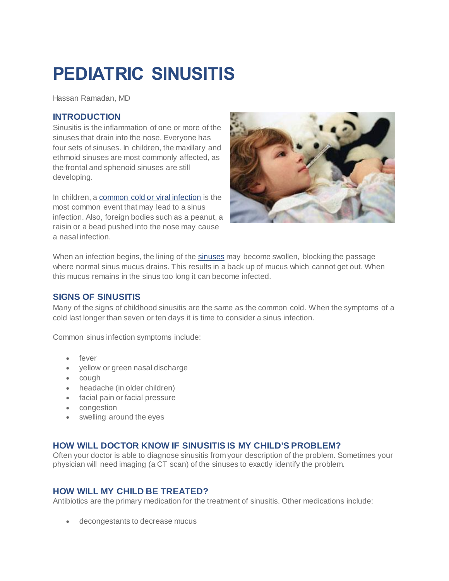# **PEDIATRIC SINUSITIS**

Hassan Ramadan, MD

### **INTRODUCTION**

Sinusitis is the inflammation of one or more of the sinuses that drain into the nose. Everyone has four sets of sinuses. In children, the maxillary and ethmoid sinuses are most commonly affected, as the frontal and sphenoid sinuses are still developing.

In children, a [common cold or viral infection](http://care.american-rhinologic.org/upper_respiratory_infections) is the most common event that may lead to a sinus infection. Also, foreign bodies such as a peanut, a raisin or a bead pushed into the nose may cause a nasal infection.



When an infection begins, the lining of the [sinuses](http://care.american-rhinologic.org/sinus_anatomy) may become swollen, blocking the passage where normal sinus mucus drains. This results in a back up of mucus which cannot get out. When this mucus remains in the sinus too long it can become infected.

## **SIGNS OF SINUSITIS**

Many of the signs of childhood sinusitis are the same as the common cold. When the symptoms of a cold last longer than seven or ten days it is time to consider a sinus infection.

Common sinus infection symptoms include:

- fever
- yellow or green nasal discharge
- cough
- headache (in older children)
- facial pain or facial pressure
- congestion
- swelling around the eyes

## **HOW WILL DOCTOR KNOW IF SINUSITIS IS MY CHILD'S PROBLEM?**

Often your doctor is able to diagnose sinusitis from your description of the problem. Sometimes your physician will need imaging (a CT scan) of the sinuses to exactly identify the problem.

## **HOW WILL MY CHILD BE TREATED?**

Antibiotics are the primary medication for the treatment of sinusitis. Other medications include:

decongestants to decrease mucus